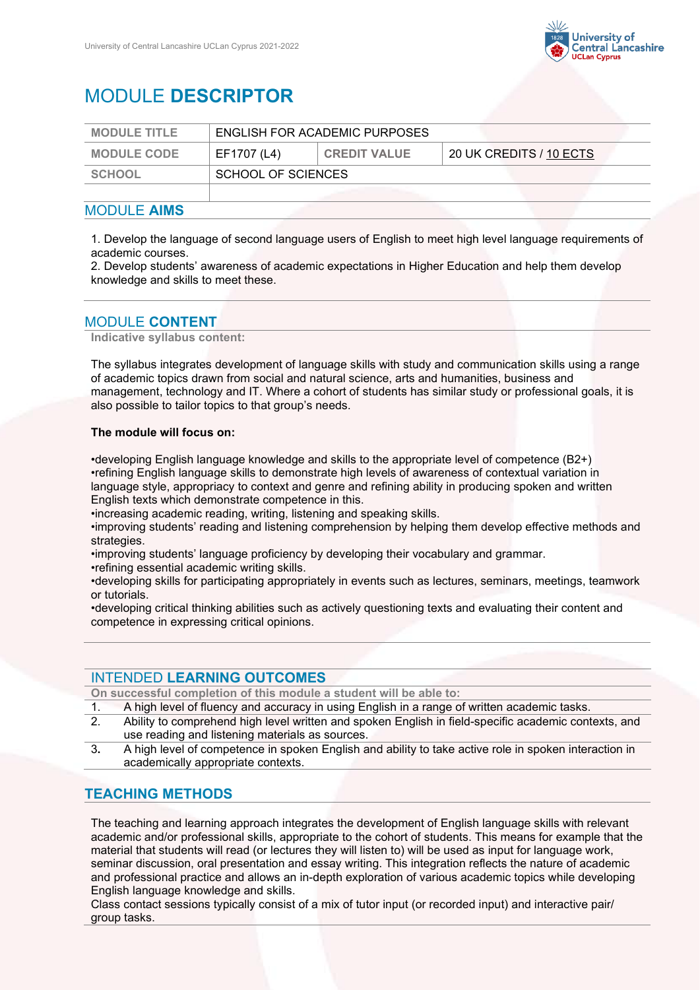

# MODULE **DESCRIPTOR**

| <b>MODULE TITLE</b> | ENGLISH FOR ACADEMIC PURPOSES |                     |                         |
|---------------------|-------------------------------|---------------------|-------------------------|
| <b>MODULE CODE</b>  | EF1707 (L4)                   | <b>CREDIT VALUE</b> | 20 UK CREDITS / 10 ECTS |
| SCHOOL              | SCHOOL OF SCIENCES            |                     |                         |
|                     |                               |                     |                         |

## MODULE **AIMS**

1. Develop the language of second language users of English to meet high level language requirements of academic courses.

2. Develop students' awareness of academic expectations in Higher Education and help them develop knowledge and skills to meet these.

# MODULE **CONTENT**

**Indicative syllabus content:**

The syllabus integrates development of language skills with study and communication skills using a range of academic topics drawn from social and natural science, arts and humanities, business and management, technology and IT. Where a cohort of students has similar study or professional goals, it is also possible to tailor topics to that group's needs.

#### **The module will focus on:**

•developing English language knowledge and skills to the appropriate level of competence (B2+) •refining English language skills to demonstrate high levels of awareness of contextual variation in language style, appropriacy to context and genre and refining ability in producing spoken and written English texts which demonstrate competence in this.

•increasing academic reading, writing, listening and speaking skills.

•improving students' reading and listening comprehension by helping them develop effective methods and strategies.

•improving students' language proficiency by developing their vocabulary and grammar.

•refining essential academic writing skills.

•developing skills for participating appropriately in events such as lectures, seminars, meetings, teamwork or tutorials.

•developing critical thinking abilities such as actively questioning texts and evaluating their content and competence in expressing critical opinions.

## INTENDED **LEARNING OUTCOMES**

**On successful completion of this module a student will be able to:**

- 1. A high level of fluency and accuracy in using English in a range of written academic tasks.<br>2. Ability to comprehend high level written and spoken English in field-specific academic con
- 2. Ability to comprehend high level written and spoken English in field-specific academic contexts, and use reading and listening materials as sources.
- 3**.** A high level of competence in spoken English and ability to take active role in spoken interaction in academically appropriate contexts.

## **TEACHING METHODS**

The teaching and learning approach integrates the development of English language skills with relevant academic and/or professional skills, appropriate to the cohort of students. This means for example that the material that students will read (or lectures they will listen to) will be used as input for language work, seminar discussion, oral presentation and essay writing. This integration reflects the nature of academic and professional practice and allows an in-depth exploration of various academic topics while developing English language knowledge and skills.

Class contact sessions typically consist of a mix of tutor input (or recorded input) and interactive pair/ group tasks.